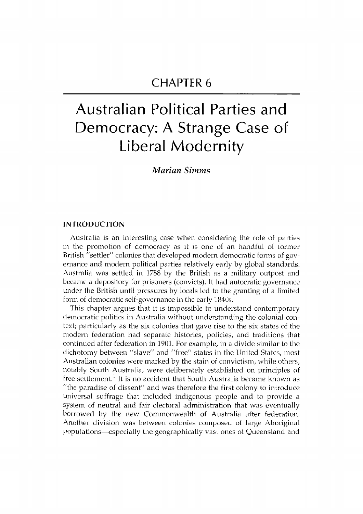# Deakin Research Online

## **This is the published version:**

Simms, Marian 2010, Australian political parties and democracy : a strange case of liberal modernity*, in Political parties and democracy*, Praeger, Santa Barbara, Calif., pp.133-154.

## **Available from Deakin Research Online:**

http://hdl.handle.net/10536/DRO/DU:30032993

Reproduced with the kind permissions of the copyright owner.

**Copyright :** 2010, Praeger Publishers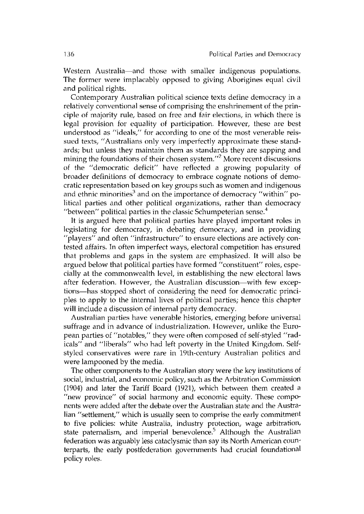# **CHAPTER 6**

# **Australian Political Parties and Democracy: A Strange Case of Liberal Modernity**

### *Marian Simms*

#### **INTRODUCTION**

Australia is an interesting case when considering the role of parties in the promotion of democracy as it is one of an handful of former British "settler" colonies that developed modern democratic forms of governance and modern political parties relatively early by global standards. Australia was settled in 1788 by the British as a military outpost and became a depository for prisoners (convicts). It had autocratic governance under the British until pressures by locals led to the granting of a limited form of democratic self-governance in the early 1840s.

This chapter argues that it is impossible to understand contemporary democratic politics in Australia without understanding the colonial context; particularly as the six colonies that gave rise to the six statcs of the modern federation had separate histories, policies, and traditions that continued after federation in 1901. For example, in a divide similar to the dichotomy between "slave" and "free" states in the United States, most Australian colonies were marked by the stain of convictism, while others, notably South Australia, were deliberately established on principles of free settlement.<sup>1</sup> It is no accident that South Australia became known as "the paradise of dissent" and was therefore the first colony to introduce universal suffrage that included indigenous peoplc and to provide a system of neutral and fair electoral administration that was eventually borrowed by the new Commonwealth of Australia after federation. Another division was between colonies composed of large Aboriginal populations—especially the geographically vast ones of Queensland and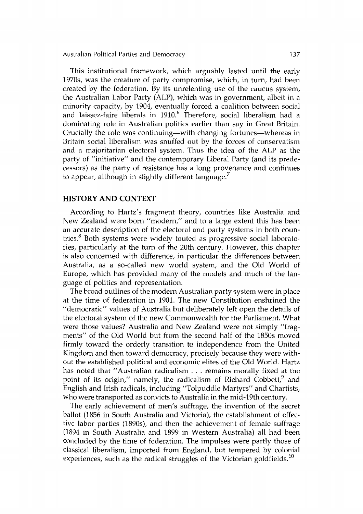Western Australia-and those with smaller indigenous populations. The former were implacably opposed to giving Aborigines equal civil and political rights.

Contemporary Australian political science texts define democracy in a relatively conventional sense of comprising the enshrinement of the principle of majority rule, based on free and fair elections, in which there is legal provision for equality of participation, However, these are best understood as "ideals," for according to one of the most venerable reissued texts, "Australians only very imperfectly approximate these standards; but unless they maintain them as standards they are sapping and mining the foundations of their chosen system. $^{\prime\prime2}$  More recent discussions of the "democratic deficit" have reflected a growing popularity of broader definitions of democracy to embrace cognate notions of democratic representation based on key groups such as women and indigenous and ethnic minorities<sup>3</sup> and on the importance of democracy "within" political parties and other political organizations, rather than democracy "between" political parties in the classic Schumpeterian sense. $4$ 

It is argued here that political parties have played important roles in legislating for democracy, in debating democracy, and in providing "players" and often "infrastructure" to ensure elections are actively contested affairs. In often imperfect ways, electoral competition has ensured that problems and gaps in the system are emphasized. It will also be argued below that political parties have formed "constituent" roles, especially at the commonwealth level, in establishing the new electoral laws after federation. However, the Australian discussion-with few exceptions-has stopped short of considering the need for democratic principles to apply to the internal lives of political parties; hence this chapter will include a discussion of internal party democracy,

Australian parties have venerable histories, emerging before universal suffrage and in advance of industrialization. However, unlike the European parties of "notables," they were often composed of self-styled "radicals" and "liberals" who had left poverty in the United Kingdom. Selfstyled conservatives were rare in 19th-century Australian politics and were lampooned by the media.

The other components to the Australian story were the key institutions of social, industrial, and economic policy, such as the Arbitration Commission (1904) and later the Tariff Board (1921), which between them created a "new province" of social harmony and economic equity. These components were added after the debate over the Australian state and the Australian "settlement," which is usually seen to comprise the early commitment to five policies: white Australia, industry protection, wage arbitration, state paternalism, and imperial benevolence.<sup>5</sup> Although the Australian federation was arguably less cataclysmic than say its North American counterparts, the early postfederation governments had crucial foundational policy roles.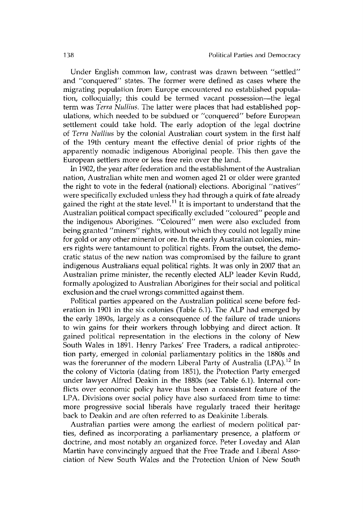Auslralian Political Parties and Democracy 137

This institutional framework, which arguably lasted until the early 1970s, was the creature of party compromise, which, in turn, had been created by the federation. By its unrelenting use of the caucus system, the Australian Labor Party (ALP), which was in government, albeit in a minority capacity, by 1904, eventually forced a coalition between social and laissez-faire liberals in 1910.<sup>6</sup> Therefore, social liberalism had a dominating role in Australian politics earlier than say in Great Britain. Crucially the role was continuing—with changing fortunes—whereas in Britain social liberalism was snuffed out by the forces of conservatism and a majoritarian electoral system. Thus the idea of the ALP as the party of "initiative" and the contemporary Liberal Party (and its predecessors) as the party of resistance has a long provenance and continues to appear, although in slightly different language. $\frac{7}{1}$ 

#### HISTORY AND CONTEXT

According to Hartz's fragment theory, countries like Australia and New Zealand were born "modern," and to a large extent this has been an accurate description of the electoral and party systems in both countries. 8 Both systems were widely touted as progressive social laboratories, particularly at the turn of the 20th century. However, this chapter is also concerned with difference, in particular the differences between Australia, as a so-called new world system, and the Old World of Europe, which has provided many of the models and much of the language of politics and representation.

The broad outlines of the modern Australian party system were in place at the time of federation in 1901. The new Constitution enshrined the "democratic" values of Australia but deliberately left open the details of the electoral system of the new Commonwealth for the Parliament. What were those values? Australia and New Zealand were not simply "fragments" of the Old World but from the second half of the 1850s moved firmly toward the orderly transition to independence from the United Kingdom and then toward democracy, precisely because they were without the established political and economic elites of the Old World. Hartz has noted that "Australian radicalism ... remains morally fixed at the point of its origin," namely, the radicalism of Richard Cobbett,<sup>9</sup> and English and Irish radicals, including "Tolpuddle Martyrs" and Chartists, who were transported as convicts to Australia in the mid-19th century.

The early achievement of men's suffrage, the invention of the secret ballot (1856 in South Australia and Victoria), the establishment of effective labor parties (18905), and then the achievement of female suffrage (1894 in South Australia and 1899 in Western Australia) all had been concluded by the time of federation. The impulses were partly those of classical liberalism, imported from England, but tempered by colonial experiences, such as the radical struggles of the Victorian goldfields.<sup>10</sup>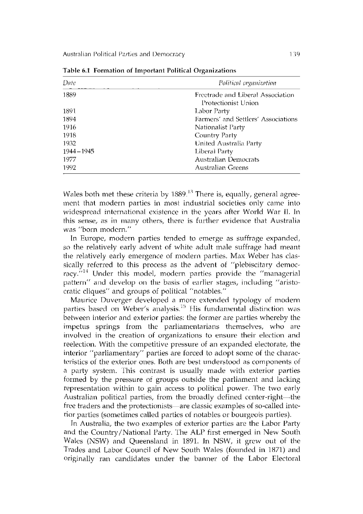Under English common law, contrast was drawn between "settled" and "conquered" states. The former were defined as cases where the migrating population from Europe encountered no established population, colloquially; this could be termed vacant possession-the legal term was *Terra Nullius.* The latter were places that had established populations, which needed to be subdued or "conquered" before European settlement could take hold. The early adoption of the legal doctrine of *Terra Nullius* by the colonial Australian court system in the first half of the 19th century meant the effective denial of prior rights of the apparently nomadic indigenous Aboriginal people. This then gave the European settlers more or less free rein over the land.

In 1902, the year after federation and the establishment of the Australian nation, Australian white men and women aged 21 or older were granted the right to vote in the federal (national) elections. Aboriginal "natives" were specifically excluded unless they had through a quirk of fate already gained the right at the state level.<sup>11</sup> It is important to understand that the Australian political compact specifically excluded "coloured" people and the indigenous Aborigines. "Coloured" men were also excluded from being granted "miners" rights, without which they could not legally mine for gold or any other mineral or are. In the early Australian colonies, miners rights were tantamount to political rights. From the outset, the democratic status of the new nation was compromised by the failure to grant indigenous Australians equal political rights. It was only in 2007 that an Australian prime minister, the recently elected ALP leader Kevin Rudd, formally apologized to Australian Aborigines for their social and political exclusion and the cruel wrongs committed against them.

Political parties appeared on the Australian political scene before federation in 1901 in the six colonies (Table 6.1). The ALP had emerged by the early 1890s, largely as a consequence of the failure of trade unions to win gains for their workers through lobbying and direct action. It gained political representation in the elections in the colony of New South Wales in 1891. Henry Parkes' Free Traders, a radical antiprotection party, emerged in colonial parliamentary politics in the 1880s and was the forerunner of the modern Liberal Party of Australia (LPA).<sup>12</sup> In the colony of Victoria (dating from 1851), the Protection Party emerged under lawyer Alfred Deakin in the 1880s (see Table 6.1). Internal conflicts over economic policy have thus been a consistent feature of the LPA. Divisions over social policy have also surfaced from time to time: more progressive social liberals *have* regularly traced their heritage back to Deakin and are often referred to as Deakinite Liberals.

Australian parties were among the earliest of modern political parties, defined as incorporating a parliamentary presence, a platform or doctrine, and most notably an organized force. Peter Loveday and Alan Martin have convincingly argued that the Free Trade and Liberal Asso~ ciation of New South Wales and the Protection Union of New South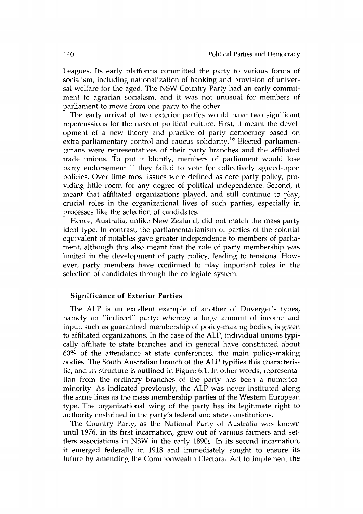Australian Political Parties and Democracy

| Date      | Political organization<br>Freetrade and Liberal Association<br>Protectionist Union |  |  |
|-----------|------------------------------------------------------------------------------------|--|--|
| 1889      |                                                                                    |  |  |
| 1891      | Labor Party                                                                        |  |  |
| 1894      | Farmers' and Settlers' Associations                                                |  |  |
| 1916      | Nationalist Party                                                                  |  |  |
| 1918      | Country Party                                                                      |  |  |
| 1932      | United Australia Party                                                             |  |  |
| 1944-1945 | Liberal Party                                                                      |  |  |
| 1977      | <b>Australian Democrats</b>                                                        |  |  |
| 1992      | <b>Australian Greens</b>                                                           |  |  |

Table 6.1 Formation of Important Political Organizations

Wales both met these criteria by  $1889$ .<sup>13</sup> There is, equally, general agreement that modern parties in most industrial societies only came into widespread international existence in the years after World War II. In this sense, as in many others, there is further evidence that Australia was "born modern."

In Europe, modern parties tended to emerge as suffrage expanded, so the relatively early advent of white adult male suffrage had meant the relatively early emergence of modern parties. Max Weber has classically referred to this process as the advent of "plebiscitary democracy. $^{714}$  Under this model, modern parties provide the "managerial pattern" and develop on the basis of earlier stages, including "aristocratic cliques" and groups of political "notables,"

Maurice Duverger developed a more extended typology of modern parties based on Weber's analysis.<sup>15</sup> His fundamental distinction was between interior and exterior parties: the former are parties whereby the impetus springs from the parliamentarians themselves, who are involved in the creation of organizations to ensure their election and reelection. With the competitive pressure of an expanded electorate, the interior "parliamentary" parties are forced to adopt some of the characteristics of the exterior ones. Both are best understood as components of a party system, This contrast is usually made with exterior parties formed by the pressure of groups outside the parliament and lacking representation within to gain access to political power. The two early Australian political parties, from the broadly defined center-right—the free traders and the protectionists—are classic examples of so-called interior parties (sometimes called parties of notables or bourgeois parties).

In Australia, the two examples of exterior parties are the Labor Party and the Country/National Party. The ALP first emerged in New South Wales {N5W) and Queensland in 1891. In NSW, it grew out of the Trades and Labor Council of New South Wales (founded in 1871) and originally ran candidates under the banner of the Labor Electoral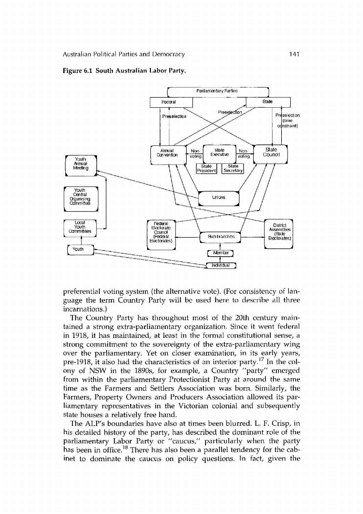Leagues. Its early platforms committed the party to various forms of socialism, including nationalization of banking and provision of universal welfare for the aged. The NSW Country Party had an early commitment to agrarian socialism, and it was not unusual for members of parliament to move from one party to the other.

The early arrival of two exterior parties would have two significant repercussions for the nascent political culture. First, it meant the development of a new theory and practice of party democracy based on extra-parliamentary control and caucus solidarity.<sup>16</sup> Elected parliamentarians were representatives of their party branches and the affiliated trade unions. To put it bluntly, members of parliament would lose party endorsement if they failed to vote for collectively agreed-upon policies. Over time most issues were defined as core party policy, providing little room for any degree of political independence. Second, it meant that affiliated organizations played, and still continue to play, crucial roles in the organizational lives of such parties, especially in processes like the selection of candidates.

Hence, Australia, unlike New Zealand, did not match the mass party ideal type. In contrast, the parliamentarianism of parties of the colonial equivalent of notables gave greater independence to members of parliament, although this also meant that the role of party membership was limited in the development of party policy, leading to tensions. However, party members have continued to play important roles in the selection of candidates through the collegiate system.

#### Significance of Exterior Parties

The ALP is an excellent example of another of Duverger's types, namely an "indirect" party; whereby a large amount of income and input, such as guaranteed membership of policy-making bodies, is given to affiliated organizations. In the case of the ALP, individual unions typically affiliate to state branches and in general have constituted about 60% of the attendance at state conferences, the main policy-making bodies. The South Australian branch of the ALP typifies this characteristic, and its structure is outlined in Figure 6.1. In other words, representation from the ordinary branches of the party has been a numerical minority. As indicated previously, the ALP was never instituted along the same lines as the mass membership parties of the Western European type. The organizational wing of the party has its legitimate right to authority enshrined in the party's federal and state constitutions.

The Country Party, as the National Party of Australia was known until 1976, in its first incarnation, grew out of various farmers and settlers associations in NSW in the early *1890s.* In its second incarnation, it emerged federally in 1918 and immediately sought to ensure its future by amending the Commonwealth Electoral Act to implement the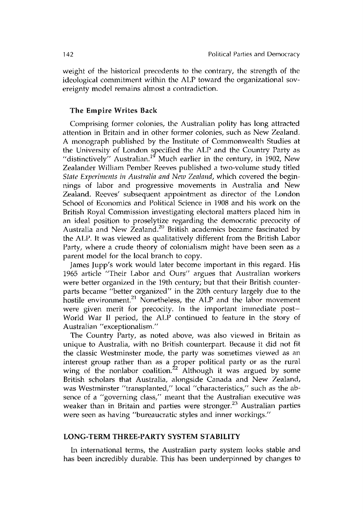



preferential voting system (the alternative vote). (For consistency of language the term Country Party will be used here to describe all three incarnations.)

The Country Party has throughout most of the 20th century maintained a strong extra-parliamentary organization. Since it went federal in 1918, it has maintained, at least in the formal constitutional sense, a strong commitment to the sovereignty of the extra-parliamentary wing over the parliamentary. Yet on closer examination, in its early years, pre-1918, it also had the characteristics of an interior party.<sup>17</sup> In the colony of NSW in the 18905, for example, a Country "party" emerged from within the parliamentary Protectionist Party at around the same time as the Farmers and Settlers Association was born. Similarly, the Farmers, Property Owners and Producers Association allowed its parliamentary representatives in the Victorian colonial and subsequently state houses a relatively free hand.

The ALP's boundaries have also at times been blurred. L. F. Crisp, in his detailed history of the party, has described the dominant role of the parliamentary Labor Party or "caucus," particularly when the party has been in office.<sup>18</sup> There has also been a parallel tendency for the cabinet to dominate the caucus on policy questions. In fact, given the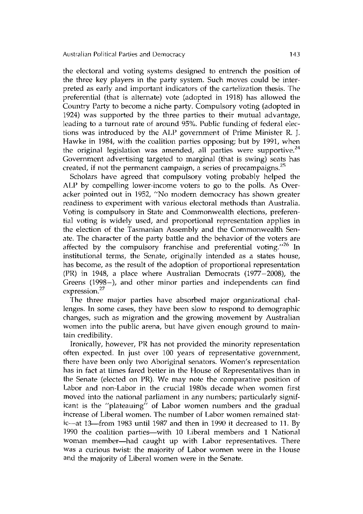weight of the historical precedents to the contrary, the strength of the ideological commitment within the ALP toward the organizational sovereignty model remains almost a contradiction.

#### The Empire Writes Back

Comprising former colonies, the Australian polity has long attracted attention in Britain and in other former colonies, such as New Zealand. A monograph published by the Institute of Commonwealth Studies at the University of London specified the ALP and the Country Party as "distinctively" Australian.<sup>19</sup> Much earlier in the century, in 1902, New Zealander William Pember Reeves published a two-volume study titled State Experiments in Australia and New Zealand, which covered the beginnings of labor and progressive movements in Australia and New Zealand. Reeves' subsequent appointment as director of the London School of Economics and Political Science in 1908 and his work on the British Royal Commission investigating electoral matters placed him in an ideal position to proselytize regarding the democratic precocity of Australia and New Zealand.<sup>20</sup> British academics became fascinated by the ALP. It was viewed as qualitatively different from the British Labor Party, where a crude theory of colonialism might have been seen as a parent model for the local branch to copy.

James Jupp's work would later become important in this regard. His 1965 article "Their Labor and Ours" argues that Australian workers were better organized in the 19th century; but that their British counterparts became "better organized" in the 20th century largely due to the hostile environment.<sup>21</sup> Nonetheless, the ALP and the labor movement were given merit for precocity. In the important immediate post-World War II period, the ALP continued to feature in the story of Australian "exceptionalism."

The Country Party, as noted above, was also viewed in Britain as unique to Australia, with no British counterpart. Because it did not fit the classic Westminster mode, the party was sometimes viewed as an interest group rather than as a groper political party or as the rural wing of the nonlabor coalition.<sup>22</sup> Although it was argued by some British scholars that Australia, alongside Canada and New Zealand, was Westminster "transplanted," local "characteristics," such as the absence of a "governing class," meant that the Australian executive was weaker than in Britain and parties were stronger.<sup>23</sup> Australian parties were seen as having "bureaucratic styles and inner workings."

#### LONG~ TERM THREE~PARTY SYSTEM STABILITY

In international terms, the Australian party system looks stable and has been incredibly durable. This has been underpinned by changes to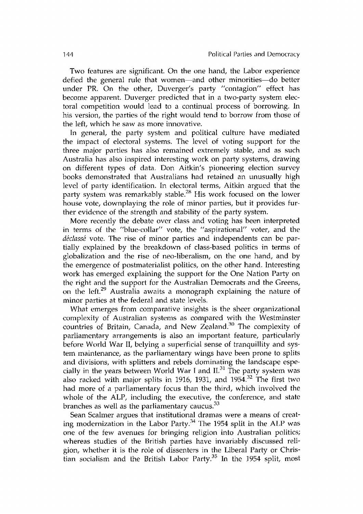Australian Political Parties and Democracy 143

the electoral and voting systems designed to entrench the position of the three key players in the party system. Such moves could be interpreted as early and important indicators of the cartelization thesis. The preferential (that is alternate) vote (adopted in 1918) has allowed the Country Party to become a niche party. Compulsory voting (adopted in 1924) was supported by the three parties to their mutual advantage, leading to a turnout rate of around 95%. Public funding of federal elections was introduced by the ALP government of Prime Minister R. J. Hawke in 1984, with the coalition parties opposing; but by 1991, when the original legislation was amended, all parties were supportive.<sup>24</sup> Government advertising targeted to marginal (that is swing) seats has created, if not the permanent campaign, a series of precampaigns. $^{25}$ 

Scholars have agreed that compulsory voting probably helped the ALP by compelling lower-income voters to go to the polls. As Overacker pointed out in 1952, "No modern democracy has shown greater readiness to experiment with various electoral methods than Australia. Voting is compulsory in State and Commonwealth elections, preferential voting is widely used, and proportional representation applies in the election of the Tasmanian Assembly and the Commonwealth Senate. The character of the party battle and the behavior of the voters are affected by the compulsory franchise and preferential voting. $126$  In institutional terms, the Senate, originally intended as a states house, has become, as the result of the adoption of proportional representation (PR) in 1948, a place where Australian Democrats (1977-2008), the Greens (1998-), and other minor parties and independents can find expression.<sup>27</sup>

The three major parties have absorbed major organizational challenges. In some cases, they have been slow to respond to demographic changes, such as migration and the growing movement by Australian women into the public arena, but have given enough ground to maintain credibility.

Ironically, however, PR has not provided the minority representation often expected. In just over 100 years of representative government, there have been only two Aboriginal senators. Women's representation has in fact at times fared better in the House of Representatives than in the Senate (elected on PR). We may note the comparative position of Labor and non-Labor in the crucial 19805 decade when women first moved into the national parliament in any numbers; particularly significant is the "plateauing" of Labor women numbers and the gradual increase of Liberal women. The number of Labor women remained static-at I3-from 1983 until 1987 and then in 1990 it decreased to 11. By 1990 the coalition parties-with 10 Liberal members and 1 National Woman member-had caught up with Labor representatives. There Was a curious twist: the majority of Labor women were in the House and the majority of Liberal women were in the Senate.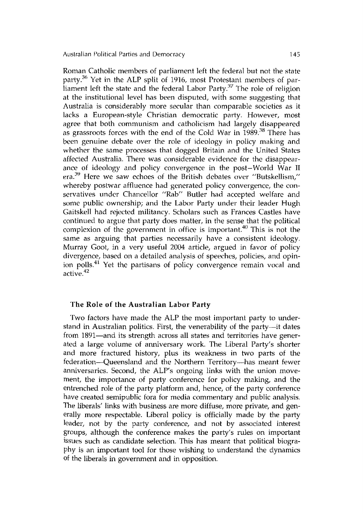Two features are significant. On the one hand, the Labor experience defied the general rule that women—and other minorities—do better under PR. On the other, Duverger's party "contagion" effect has become apparent. Duverger predicted that in a two-party system electoral competition would lead to a continual process of borrowing. In his version, the parties of the right would tend to borrow from those of the left, which he saw as more innovative.

In general, the party system and political culture have mediated the impact of electoral systems. The level of voting support for the three major parties has also remained extremely stable, and as such Australia has also inspired interesting work on party systems, drawing on different types of data. Don Aitkin's pioneering election survey books demonstrated that Australians had retained an unusually high level of party identification. In electoral terms, Aitkin argued that the party system was remarkably stable.<sup>28</sup> His work focused on the lower house vote, downplaying the role of minor parties, but it provides further evidence of the strength and stability of the party system.

More recently the debate over class and voting has been interpreted in terms of the "blue-collar" vote, the "aspirational" voter, and the *declasse* vote. The rise of minor parties and independents can be partially explained by the breakdown of class-based politics in terms of globalization and the rise of neo-liberalism, on the one hand, and by the emergence of postmaterialist politics, on the other hand. Interesting work has emerged explaining the support for the One Nation Party on the right and the support for the Australian Democrats and the Greens, on the left.<sup>29</sup> Australia awaits a monograph explaining the nature of minor parties at the federal and state levels.

What emerges from comparative insights is the sheer organizational complexity of Australian systems as compared with the Westminster countries of Britain, Canada, and New Zealand.<sup>30</sup> The complexity of parliamentary arrangements is also an important feature, particularly before World War II, belying a superficial sense of tranquillity and system maintenance, as the parliamentary wings have been prone to splits and divisions, with splitters and rebels dominating the landscape especially in the years between World War I and  $II^{31}$  The party system was also racked with major splits in 1916, 1931, and  $1954<sup>32</sup>$  The first two had more of a parliamentary focus than the third, which involved the whole of the ALP, including the executive, the conference, and state branches as well as the parliamentary caucus. $^{33}$ 

Sean Scalmer argues that institutional dramas were a means of creating modernization in the Labor Party.<sup>34</sup> The 1954 split in the ALP was one of the few avenues for bringing religion into Australian politics; whereas studies of the British parties have invariably discussed religion, whether it is the role of dissenters in the Liberal Party or Christian socialism and the British Labor Party. $35$  In the 1954 split, most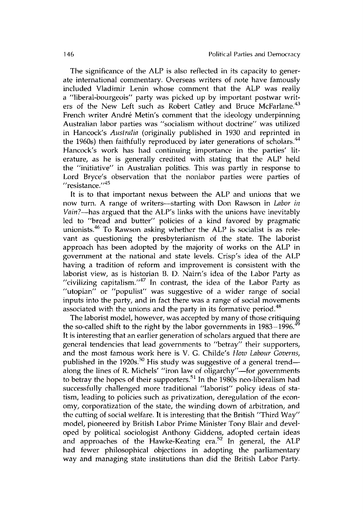Roman Catholic members of parliament left the federal but not the state party.<sup>36</sup> Yet in the ALP split of 1916, most Protestant members of parliament left the state and the federal Labor Party.<sup>37</sup> The role of religion at the institutional level has been disputed, with some suggesting that Australia is considerably more secular than comparable societies as it lacks a European-style Christian democratic party. However, most agree that both communism and catholicism had largely disappeared as grassroots forces with the end of the Cold War in 1989.38 There has been genuine debate over the role of ideology in policy making and whether the same processes that dogged Britain and the United States affected Australia. There was considerable evidence for the disappearance of ideology and policy convergence in the post-World War II era.<sup>39</sup> Here we saw echoes of the British debates over "Butskellism," whereby postwar affluence had generated policy convergence, the conservatives under Chancellor "Rab" Butler had accepted welfare and some public ownership; and the Labor Party under their leader Hugh Gaitskell had rejected militancy. Scholars such as Frances Castles have continued to argue that party does matter, in the sense that the political complexion of the government in office is important.<sup>40</sup> This is not the same as arguing that parties necessarily have a consistent ideology. Murray Goot, in a very useful 2004 article, argued in favor of policy divergence, based on a detailed analysis of speeches, policies, and opinion polls.<sup>41</sup> Yet the partisans of policy convergence remain vocal and active. <sup>42</sup>

#### The Role of the Australian Labor Party

Two factors have made the ALP the most important party to understand in Australian politics. First, the venerability of the party--it dates from 1891—and its strength across all states and territories have generated a large volume of anniversary work. The Liberal Party's shorter and more fractured history, plus its weakness in two parts of the federation-Queensland and the Northern Territory-has meant fewer anniversaries. Second, the ALP's ongoing links with the union movement, the importance of party conference for policy making, and the entrenched role of the party platform and, hence, of the party conference have created semipublic fora for media commentary and public analysis. The liberals' links with business are more diffuse, more private, and generally more respectable. Liberal policy is officially made by the party leader, not by the party conference, and not by associated interest groups, although the conference makes the party's rules on important issues such as candidate selection. This has meant that political biography is an important tool for those wishing to understand the dynamics of the liberals in government and in opposition.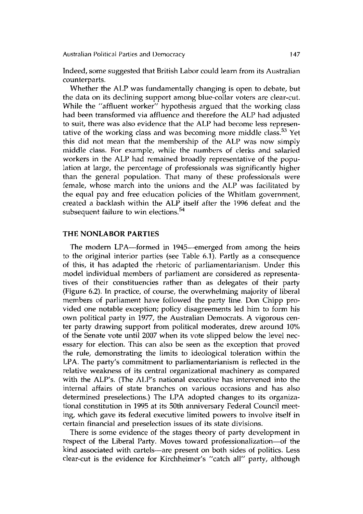The significance of the ALP is also reflected in its capacity to generate international commentary. Overseas writers of note have famously included Vladimir Lenin whose comment that the ALP was really a "liberal-bourgeois" party was picked up by important postwar writers of the New Left such as Robert Catley and Bruce McFarlane.<sup>43</sup> French writer André Metin's comment that the ideology underpinning Australian labor parties was "socialism without doctrine" was utilized in Hancock's *Australia* (originally published in 1930 and reprinted in the 1960s) then faithfully reproduced by later generations of scholars.<sup>44</sup> Hancock's work has had continuing importance in the parties' literature, as he is generally credited with stating that the ALP held the "initiative" in Australian politics. This was partly in response to Lord Bryce's observation that the nonlabor parties were parties of  $^{\prime\prime}$ resistance. $^{\prime\prime45}$ 

It is to that important nexus between the ALP and unions that we now turn. A range of writers-starting with Don Rawson in *Labor in*  Vain?—has argued that the ALP's links with the unions have inevitably led to "bread and butter" policies of a kind favored by pragmatic unionists. $46$  To Rawson asking whether the ALP is socialist is as relevant as questioning the presbyterianism of the state. The laborist approach has been adopted by the majority of works on the ALP in government at the national and state levels. Crisp's idea of the ALP having a tradition of reform and improvement is consistent with the laborist view, as is historian B. D. Nairn's idea of the Labor Party as "civilizing capitalism." $47$  In contrast, the idea of the Labor Party as "utopian" or "populist" was suggestive of a wider range of social inputs into the party, and in fact there was a range of social movements associated with the unions and the party in its formative period.<sup>48</sup>

The laborist model, however, was accepted by many of those critiquing the so-called shift to the right by the labor governments in  $1983-1996$ .<sup>49</sup> It is interesting that an earlier generation of scholars argued that there are general tendencies that lead governments to "betray" their supporters, and the most famous work here is V. G. Childe's *How Labour Governs,*  published in the 1920s.<sup>50</sup> His study was suggestive of a general trendalong the lines of R. Michels' "iron law of oligarchy"—for governments to betray the hopes of their supporters.<sup>51</sup> In the 1980s neo-liberalism had successfully challenged more traditional "laborist" policy ideas of statism, leading to policies such as privatization, deregulation of the economy, corporatization of the state, the winding down of arbitration, and the cutting of social welfare. It is interesting that the British "Third Way" model, pioneered by British Labor Prime Minister Tony Blair and developed by political sociologist Anthony Giddens, adopted certain ideas and approaches of the Hawke-Keating era.<sup>52</sup> In general, the ALP had fewer philosophical objections in adopting the parliamentary way and managing state institutions than did the British Labor Party.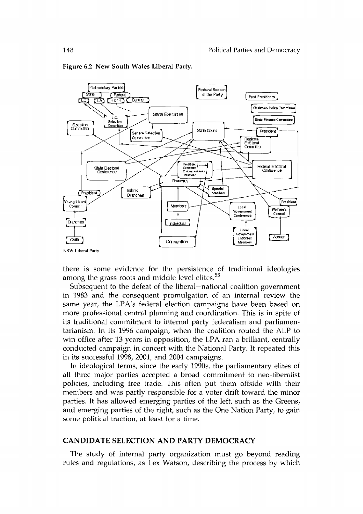Indeed, some suggested that British Labor could learn from its Australian counterparts.

Whether the ALP was fundamentally changing is open to debate, but the data on its declining support among blue-collar voters are clear-cut. While the "affluent worker" hypothesis argued that the working class had been transformed via affluence and therefore the ALP had adjusted to suit, there was also evidence that the ALP had become less representative of the working class and was becoming more middle class.<sup>53</sup> Yet this did not mean that the membership of the ALP was now simply middle class. For example, while the numbers of clerks and salaried workers in the ALP had remained broadly representative of the population at large, the percentage of professionals was significantly higher than the general population. That many of these professionals were female, whose march into the unions and the ALP was facilitated by the equal pay and free education policies of the Whitlam government, created a backlash within the ALP itself after the 1996 defeat and the subsequent failure to win elections.<sup>54</sup>

#### **THE NONLABOR PARTIES**

The modern LPA-formed in 1945-emerged from among the heirs to the original interior parties (see Table 6.1). Partly as a consequence of this, it has adapted the rhetoric of parliamentarianism. Under this model individual members of parliament are considered as representatives of their constituencies rather than as delegates of their party (Figure 6.2). In practice, of course, the overwhelming majority of liberal members of parliament have followed the party line. Don Chipp provided one notable exception; policy disagreements led him to form his own political party in 1977, the Australian Democrats. A vigorous center party drawing support from political moderates, drew around 10% of the Senate vote until 2007 when its vote slipped below the level necessary for election. This can also be seen as the exception that proved the rule, demonstrating the limits to ideological toleration within the LPA. The party's commitment to parliamentarianism is reflected in the relative weakness of its central organizational machinery as compared with the ALP's. (The ALP's national executive has intervened into the internal affairs of state branches on various occasions and has also determined preselections.) The LPA adopted changes to its organizational constitution in 1995 at its 50th anniversary Federal Council meeting, which gave its federal executive limited powers to involve itself in certain financial and preselection issues of its state divisions.

There is some evidence of the stages theory of party development in respect of the Liberal Party. Moves toward professionalization-of the kind associated with cartels-are present on both sides of politics. Less clear-cut is the evidence for Kirchheimer's "catch all" party, although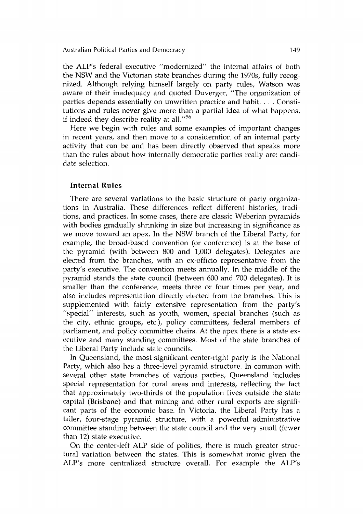

#### Figure 6.2 New South Wales Liberal Party.

there is some evidence for the persistence of traditional ideologies among the grass roots and middle level elites.<sup>55</sup>

Subsequent to the defeat of the liberal-national coalition government in 1983 and the consequent promulgation of an internal review the same year, the LPA's federal election campaigns have been based on more professional central planning and coordination. This is in spite of its traditional commitment to internal party federalism and parliamentarianism. In its 1996 campaign, when the coalition routed the ALP to win office after 13 years in opposition, the LPA ran a brilliant, centrally conducted campaign in concert with the National Party. It repeated this in its successful 1998, 2001, and 2004 campaigns.

In ideological terms, since the early 19905, the parliamentary elites of all three major parties accepted a broad commitment to neo-liberalist policies, including free trade. This often put them offside with their members and was partly responsible for a voter drift toward the minor parties. It has allowed emerging parties of the left, such as the Greens, and emerging parties of the right, such as the One Nation Party, to gain some political traction, at least for a time.

#### CANDIDATE SELECTION AND PARTY DEMOCRACY

The study of internal party organization must go beyond reading rules and regulations, as Lex Watson, describing the process by which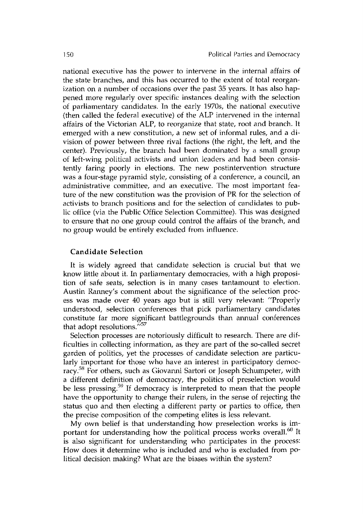Australian Political Parties and Democracy 149

the ALP's federal executive "modernized" the internal affairs of both the NSW and the Victorian state branches during the 1970s, fully recognized. Although relying himself largely on party rules, Watson was aware of their inadequacy and quoted Duverger, "The organization of parties depends essentially on unwritten practice and habit. ... Constitutions and rules never give more than a partial idea of what happens, if indeed they describe reality at all. $1.756$ 

Here we begin with rules and some examples of important changes in recent years, and then move to a consideration of an internal party activity that can be and has been directly observed that speaks more than the rules about how internally democratic parties really are: candidate selection.

#### Internal Rules

There are several variations to the basic structure of party organizations in Australia. These differences reflect different histories, traditions, and practices. In some cases, there are classic Weberian pyramids with bodies gradually shrinking in size but increasing in significance as we move toward an apex. In the NSW branch of the Liberal Party, for example, the broad-based convention (or conference) is at the base of the pyramid (with between 800 and 1,000 delegates). Delegates are elected from the branches, with an ex-officio representative from the party's executive. The convention meets annually. In the middle of the pyramid stands the state council (between 600 and 700 delegates). It is smaller than the conference, meets three or four times per year, and also includes representation directly elected from the branches. This is supplemented with fairly extensive representation from the party's "special" interests, such as youth, women, special branches (such as the city, ethnic groups, etc.), policy committees, federal members of parliament, and policy committee chairs. At the apex there is a state executive and many standing committees. Most of the state branches of the Liberal Party include state councils.

In Queensland, the most significant center-right party is the National Party, which also has a three-level pyramid structure. In common with several other state branches of various parties, Queensland includes special representation for rural areas and interests, reflecting the fact that approximately two-thirds of the population lives outside the state capital (Brisbane) and that mining and other rural exports are significant parts of the economic base. In Victoria, the Liberal Party has a taller, four-stage pyramid structure, with a powerful administrative committee standing between the state council and the very small (fewer than 12) state executive.

On the center-left ALP side of politics, there is much greater structural variation between the states. This is somewhat ironic given the ALP's more centralized structure overall. For example the ALP's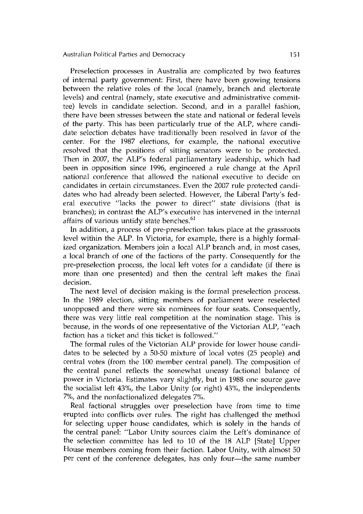national executive has the power to intervene in the internal affairs of the state branches, and this has occurred to the extent of total reorganization on a number of occasions over the past 35 years. It has also happened more regularly over specific instances dealing with the selection of parliamentary candidates. In the early 1970s, the national executive (then called the federal executive) of the ALP intervened in the internal affairs of the Victorian ALP, to reorganize that state, root and branch. It emerged with a new constitution, a new set of informal rules, and a division of power between three rival factions (the right, the left, and the center). Previously, the branch had been dominated by a small group of left-wing political activists and union leaders and had been consistently faring poorly in elections. The new postintervention structure was a four-stage pyramid style, consisting of a conference, a council, an administrative committee, and an executive. The most important feature of the new constitution was the provision of PR for the selection of activists to branch positions and for the selection of candidates to public office (via the Public Office Selection Committee). This was designed to ensure that no one group could control the affairs of the branch, and no group would be entirely excluded from influence.

#### **Candidate Selection**

It is widely agreed that candidate selection is crucial but that we know little about it. In parliamentary democracies, with a high proposition of safe seats, selection is in many cases tantamount to election. Austin Ranney's comment about the significance of the selection process was made over 40 years ago but is still very relevant: "Properly understood, selection conferences that pick parliamentary candidates constitute far more significant battlegrounds than annual conferences that adopt resolutions. $\frac{757}{757}$ 

Selection processes are notoriously difficult to research. There are difficulties in collecting information, as *they* are part of the so-called secret garden of politics, yet the processes of candidate selection are particularly important for those who have an interest in participatory *democ*racy.<sup>58</sup> For others, such as Giovanni Sartori or Joseph Schumpeter, with a different definition of democracy, the politics of preselection would be less pressing.<sup>59</sup> If democracy is interpreted to mean that the people have the opportunity to change their rulers, in the sense of rejecting the status quo and then electing a different party or parties to office, then the precise composition of the competing elites is less relevant.

My own belief is that understanding how preselection works is important for understanding how the political process works overall.<sup>60</sup> It is also significant for understanding who participates in the process: How does it determine who is included and who is excluded from political decision making? What are the biases within the system?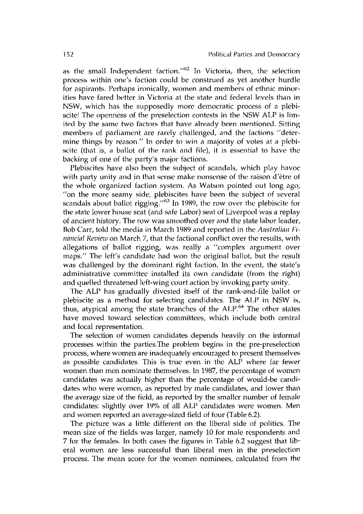Australian Political Parties and Democracy 151

Preselection processes in Australia are complicated by two features of internal party government: First, there have been growing tensions between the relative roles of the local (namely, branch and electorate levels) and central (namely, state executive and administrative committee) levels in candidate selection. Second, and in a parallel fashion, there have been stresses between the state and national or federal levels of the party. This has been particularly true of the ALP, where candidate selection debates have traditionally been resolved in favor of the center. For the 1987 elections, for example, the national executive resolved that the positions of sitting senators were to be protected. Then in 2007, the ALP's federal parliamentary leadership, which had been in opposition since 1996, engineered a rule change at the April national conference that allowed the national executive to decide on candidates in certain circumstances. Even the 2007 rule protected candidates who had already been selected. However, the Liberal Party's federal executive "lacks the power to direct" state divisions (that is branches); in contrast the ALP's executive has intervened in the internal affairs of various untidy state benches. $61$ 

In addition, a process of pre-preselection takes place at the grassroots level within the ALP. In Victoria, for example, there is a highly formalized organization. Members join a local ALP branch and, in most cases, a local branch of one of the factions of the party. Consequently for the pre-preselection process, the local left votes for a candidate (if there is more than one presented) and then the central left makes the final decision.

The next level of decision making is the formal preselection process. In the 1989 election, sitting members of parliament were reselected unopposed and there were six nominees for four seats. Consequently, there was very little real competition at the nomination stage. This is because, in the words of one representative of the Victorian ALP, "each faction has a ticket and this ticket is followed."

The formal rules of the Victorian ALP provide for lower house candidates to be selected by a 50-50 mixture of local votes (25 people) and central votes (from the 100 member central panel). The composition of the central panel reflects the somewhat uneasy factional balance of power in Victoria. Estimates vary slightly, but in 1988 one source gave the socialist left 43%, the Labor Unity (or right) 43%, the independents 7%, and the nonfactionalized delegates 7%.

Real factional struggles over preselection have from time to time erupted into conflicts over rules. The right has challenged the method for selecting upper house candidates, which is solely in the hands of the central panel: "Labor Unity sources claim the Left's dominance of the selection committee has led to 10 of the 18 ALP [State] Upper House members coming from their faction. Labor Unity, with almost 50 per cent of the conference delegates, has only four-the same number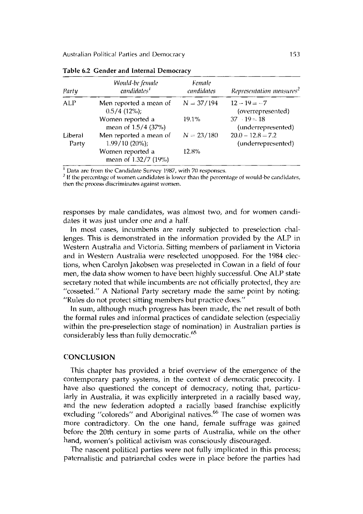as the small Independent faction." $62$  In Victoria, then, the selection process within one's faction could be construed as yet another hurdle for aspirants. Perhaps ironically, women and members of ethnic minorities have fared better in Victoria at the state and federal levels than in NSW, which has the supposedly more democratic process of a plebiscite! The openness of the preselection contests in the NSW ALP is limited by the same two factors that have already been mentioned. Sitting members of parliament are rarely challenged, and the factions "determine things by reason." In order to win a majority of votes at a plebiscite (that is, a ballot of the rank and file), it is essential to have the backing of one of the party's major factions.

Plebiscites have also been the subject of scandals, which play havoc with party unity and in that sense make nonsense of the raison d'être of the whole organized faction system. As Watson pointed out long ago, "on the more seamy side, plebiscites have been the subject of several scandals about ballot rigging."<sup>63</sup> In 1989, the row over the plebiscite for the state lower house seat (and safe Labor) seat of Liverpool was a replay of ancient history. The row was smoothed over and the state labor leader, Bob Carr, told the media in March 1989 and reported in the Australian Fi*nancial Review* on March 7, that the factional conflict over the results, with allegations of ballot rigging, was really a "complex argument over maps." The left's candidate had won the original ballot, but the result was challenged by the dominant right faction. In the event, the state's administrative committee installed its own candidate (from the right) and quelled threatened left-wing court action by invoking party unity.

The ALP has gradually divested itself of the rank-and-file ballot or plebiscite as a method for selecting candidates. The ALP in NSW is, thus, atypical among the state branches of the  $ALP<sup>64</sup>$ . The other states have moved toward selection committees, which include both central and local representation.

The selection of women candidates depends heavily on the informal processes within the parties.The problem begins in the pre-preselection process, where women are inadequately encouraged to present themselves as possible candidates. This is true even in the ALP where far fewer women than men nominate themselves. In 1987, the percentage of women candidates was actually higher than the percentage of would-be candidates who were women, as reported by male candidates, and lower than the average size of the field, as reported by the smaller number of female candidates: slightly over 19% of all ALP candidates were women. Men and women reported an average-sized field of four (Table 6.2).

The picture was a little different on the liberal side of politics. The mean size of the fields was larger, namely 10 for male respondents and 7 for the females. In both cases the figures in Table 6.2 suggest that liberal women are less successful than liberal men in the preselection process. The mean score for the women nominees, calculated from the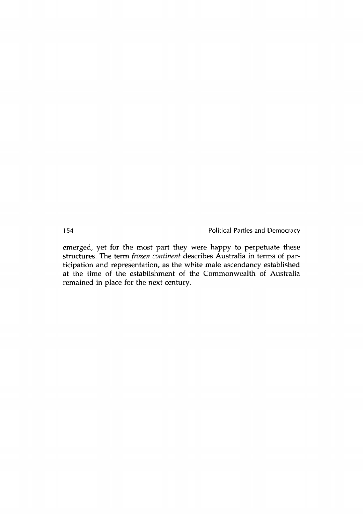| Party                                 | Would-be female<br>candidates <sup>1</sup> | Female<br>candidates | Representation measures <sup>2</sup>      |
|---------------------------------------|--------------------------------------------|----------------------|-------------------------------------------|
| ALP                                   | Men reported a mean of<br>$0.5/4$ (12%);   | $N = 37/194$         | $12 - 19 = -7$<br>(overrepresented)       |
|                                       | Women reported a<br>mean of 1.5/4 (37%)    | 19.1%                | $37 - 19 = 18$<br>(underrepresented)      |
| Liberal<br>$1.99/10(20\%)$ ;<br>Party | Men reported a mean of                     | $N = 23/180$         | $20.0 - 12.8 = 7.2$<br>(underrepresented) |
|                                       | Women reported a<br>mean of 1.32/7 (19%)   | 12.8%                |                                           |

Table 6.2 Gender and Internal Democracy

 $<sup>1</sup>$  Data are from the Candidate Survey 1987, with 70 responses.</sup>

 $2$  If the percentage of women candidates is lower than the percentage of would-be candidates, then the process discriminates against women.

responses by male candidates, was almost two, and for women candidates it was just under one and a half.

In most cases, incumbents are rarely subjccted to preselection challenges. This is demonstrated in the information provided by the ALP in Western Australia and Victoria. Sitting members of parliament in Victoria and in Western Australia were reselected unopposed. For the 1984 elections, when Carolyn Jakobsen was preselected in Cowan in a field of four men, the data show women to have been highly successful. One ALP statc secretary noted that while incumbents are not officially protected, they are "cosseted," A National Party secretary made the same point by noting: "Rules do not protect sitting members but practice does."

In sum, although much progress has been madc, the net result of both the formal rules and informal practices of candidate selection (especially within the pre-preselection stage of nomination) in Australian parties is considerably less than fully democratic.<sup>65</sup>

#### **CONCLUSION**

This chapter has provided a brief overview of the emergence of the contemporary party systems, in the context of democratic precocity. I have also questioned the concept of democracy, noting that, particularly in Australia, it was explicitly interpreted in a racially based way, and the new federation adopted a racially based franchise explicitly excluding "coloreds" and Aboriginal natives.<sup>66</sup> The case of women was more contradictory. On the one hand, female suffrage was gained before the 20th century in some parts of Australia, while on the other hand, women's political activism was consciously discouraged.

The nascent political parties were not fully implicated in this process; paternalistic and patriarchal codes were in place before the parties had